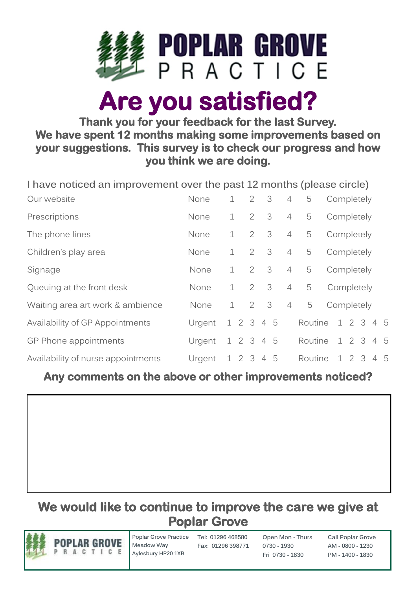

# **Are you satisfied?**

#### **Thank you for your feedback for the last Survey. We have spent 12 months making some improvements based on your suggestions. This survey is to check our progress and how you think we are doing.**

| I have noticed an improvement over the past 12 months (please circle) |        |             |                |                         |                |         |            |  |  |            |  |  |
|-----------------------------------------------------------------------|--------|-------------|----------------|-------------------------|----------------|---------|------------|--|--|------------|--|--|
| Our website                                                           | None   | $\mathbf 1$ | 2              | 3                       | 4              | 5       | Completely |  |  |            |  |  |
| Prescriptions                                                         | None   | $\mathbf 1$ | 2              | $\overline{\mathbf{3}}$ | $\overline{4}$ | 5       | Completely |  |  |            |  |  |
| The phone lines                                                       | None   | $\mathbf 1$ | 2              | 3                       | $\overline{4}$ | 5       | Completely |  |  |            |  |  |
| Children's play area                                                  | None   | $\mathbf 1$ | $\overline{2}$ | $\overline{\mathbf{3}}$ | $\overline{4}$ | 5       | Completely |  |  |            |  |  |
| Signage                                                               | None   | $\mathbf 1$ | 2              | 3                       | $\overline{4}$ | 5       |            |  |  | Completely |  |  |
| Queuing at the front desk                                             | None   | $\perp$     | $\overline{2}$ | $\overline{\mathbf{3}}$ | $\overline{4}$ | 5       | Completely |  |  |            |  |  |
| Waiting area art work & ambience                                      | None   | $\mathbf 1$ | 2              | 3                       | $\overline{4}$ | 5       |            |  |  | Completely |  |  |
| Availability of GP Appointments                                       | Urgent | 1 2 3 4 5   |                |                         |                | Routine |            |  |  | 1 2 3 4 5  |  |  |
| GP Phone appointments                                                 | Urgent | 1 2 3 4 5   |                |                         |                | Routine |            |  |  | 1 2 3 4 5  |  |  |
| Availability of nurse appointments                                    | Urgent | 1 2 3 4 5   |                |                         |                | Routine |            |  |  | 1 2 3 4 5  |  |  |

# **Any comments on the above or other improvements noticed?**

# **We would like to continue to improve the care we give at Poplar Grove**



**Poplar Grove Practice Tel: 01296 468580 Meadow Way Aylesbury HP20 1XB**

**Fax: 01296 398771**

**Open Mon - Thurs 0730 - 1930 Fri 0730 - 1830**

**Call Poplar Grove AM - 0800 - 1230 PM - 1400 - 1830**